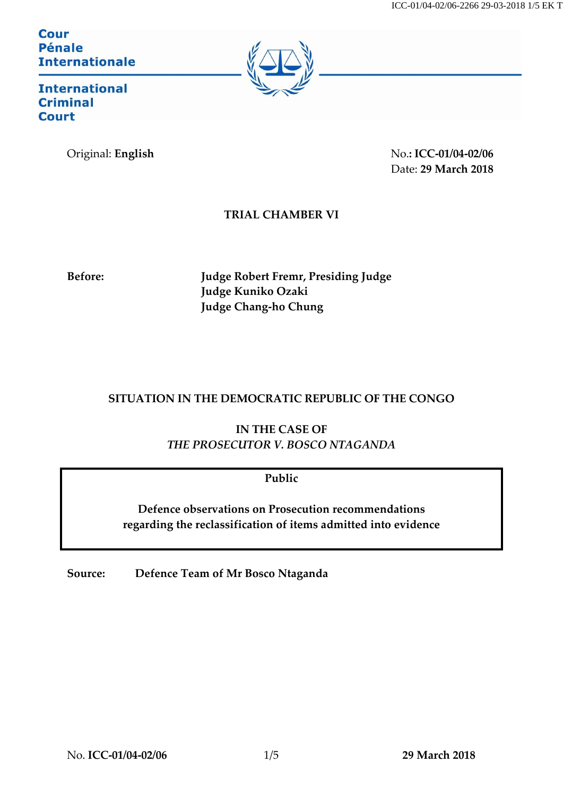**Cour Pénale Internationale** 



**International Criminal Court** 

Original: **English** No.**: ICC-01/04-02/06** Date: **29 March 2018**

### **TRIAL CHAMBER VI**

**Before: Judge Robert Fremr, Presiding Judge Judge Kuniko Ozaki Judge Chang-ho Chung**

# **SITUATION IN THE DEMOCRATIC REPUBLIC OF THE CONGO**

**IN THE CASE OF** *THE PROSECUTOR V. BOSCO NTAGANDA* 

**Public**

**Defence observations on Prosecution recommendations regarding the reclassification of items admitted into evidence**

**Source: Defence Team of Mr Bosco Ntaganda**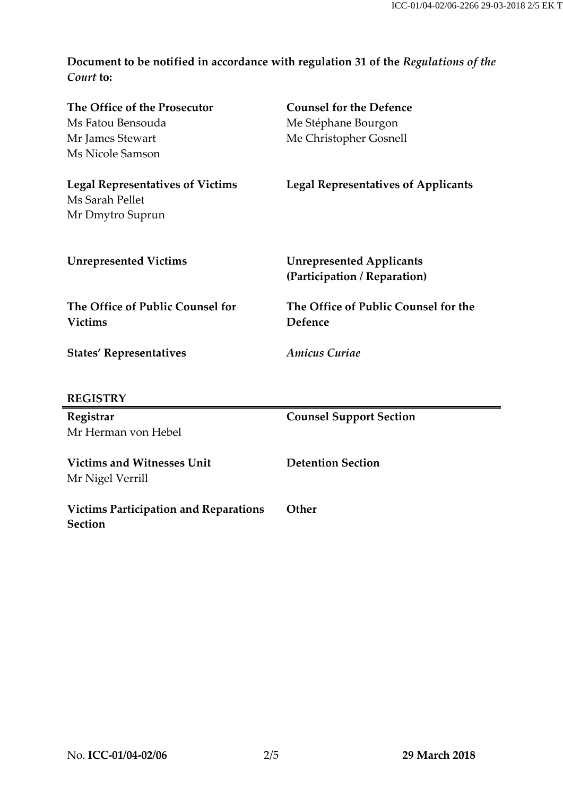**Document to be notified in accordance with regulation 31 of the** *Regulations of the Court* **to:**

| The Office of the Prosecutor                 | <b>Counsel for the Defence</b>             |
|----------------------------------------------|--------------------------------------------|
| Ms Fatou Bensouda                            | Me Stéphane Bourgon                        |
| Mr James Stewart                             | Me Christopher Gosnell                     |
| Ms Nicole Samson                             |                                            |
| <b>Legal Representatives of Victims</b>      | <b>Legal Representatives of Applicants</b> |
| Ms Sarah Pellet                              |                                            |
| Mr Dmytro Suprun                             |                                            |
|                                              |                                            |
| <b>Unrepresented Victims</b>                 | <b>Unrepresented Applicants</b>            |
|                                              | (Participation / Reparation)               |
| The Office of Public Counsel for             | The Office of Public Counsel for the       |
| <b>Victims</b>                               | <b>Defence</b>                             |
| <b>States' Representatives</b>               | <b>Amicus Curiae</b>                       |
| <b>REGISTRY</b>                              |                                            |
| Registrar                                    | <b>Counsel Support Section</b>             |
| Mr Herman von Hebel                          |                                            |
| <b>Victims and Witnesses Unit</b>            | <b>Detention Section</b>                   |
| Mr Nigel Verrill                             |                                            |
| <b>Victims Participation and Reparations</b> | Other                                      |
| <b>Section</b>                               |                                            |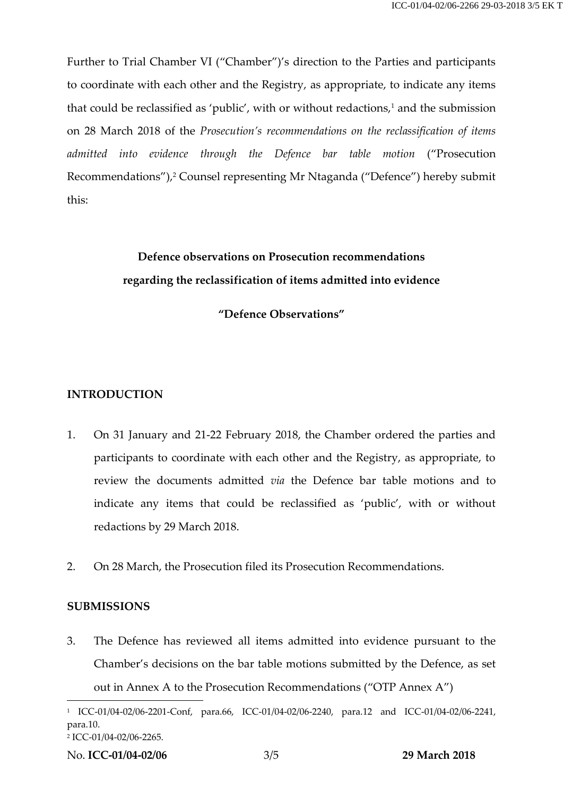Further to Trial Chamber VI ("Chamber")'s direction to the Parties and participants to coordinate with each other and the Registry, as appropriate, to indicate any items that could be reclassified as 'public', with or without redactions, $1$  and the submission on 28 March 2018 of the *Prosecution's recommendations on the reclassification of items admitted into evidence through the Defence bar table motion* ("Prosecution Recommendations"), <sup>2</sup> Counsel representing Mr Ntaganda ("Defence") hereby submit this:

# **Defence observations on Prosecution recommendations regarding the reclassification of items admitted into evidence**

### **"Defence Observations"**

# **INTRODUCTION**

- 1. On 31 January and 21-22 February 2018, the Chamber ordered the parties and participants to coordinate with each other and the Registry, as appropriate, to review the documents admitted *via* the Defence bar table motions and to indicate any items that could be reclassified as 'public', with or without redactions by 29 March 2018.
- 2. On 28 March, the Prosecution filed its Prosecution Recommendations.

#### **SUBMISSIONS**

3. The Defence has reviewed all items admitted into evidence pursuant to the Chamber's decisions on the bar table motions submitted by the Defence, as set out in Annex A to the Prosecution Recommendations ("OTP Annex A")

 $\overline{a}$ 

<sup>1</sup> ICC-01/04-02/06-2201-Conf, para.66, ICC-01/04-02/06-2240, para.12 and ICC-01/04-02/06-2241, para.10.

<sup>2</sup> ICC-01/04-02/06-2265.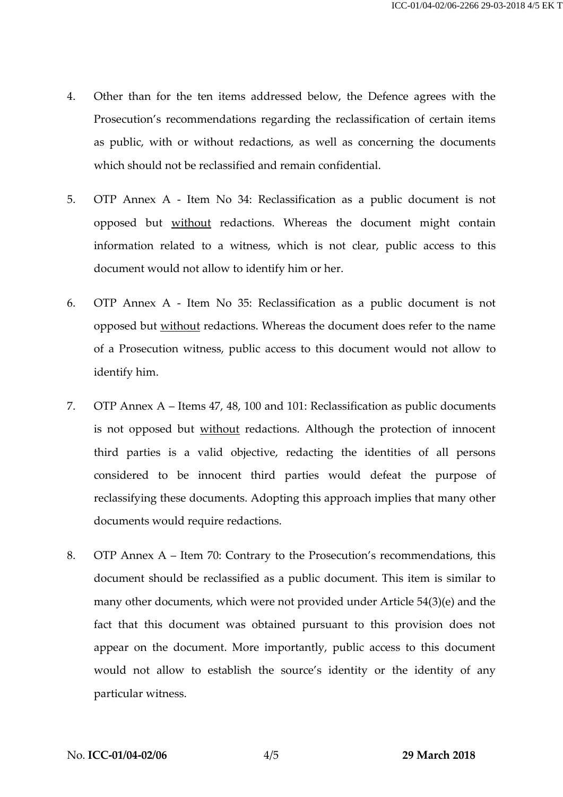- 4. Other than for the ten items addressed below, the Defence agrees with the Prosecution's recommendations regarding the reclassification of certain items as public, with or without redactions, as well as concerning the documents which should not be reclassified and remain confidential.
- 5. OTP Annex A Item No 34: Reclassification as a public document is not opposed but without redactions. Whereas the document might contain information related to a witness, which is not clear, public access to this document would not allow to identify him or her.
- 6. OTP Annex A Item No 35: Reclassification as a public document is not opposed but without redactions. Whereas the document does refer to the name of a Prosecution witness, public access to this document would not allow to identify him.
- 7. OTP Annex A Items 47, 48, 100 and 101: Reclassification as public documents is not opposed but without redactions. Although the protection of innocent third parties is a valid objective, redacting the identities of all persons considered to be innocent third parties would defeat the purpose of reclassifying these documents. Adopting this approach implies that many other documents would require redactions.
- 8. OTP Annex A Item 70: Contrary to the Prosecution's recommendations, this document should be reclassified as a public document. This item is similar to many other documents, which were not provided under Article 54(3)(e) and the fact that this document was obtained pursuant to this provision does not appear on the document. More importantly, public access to this document would not allow to establish the source's identity or the identity of any particular witness.